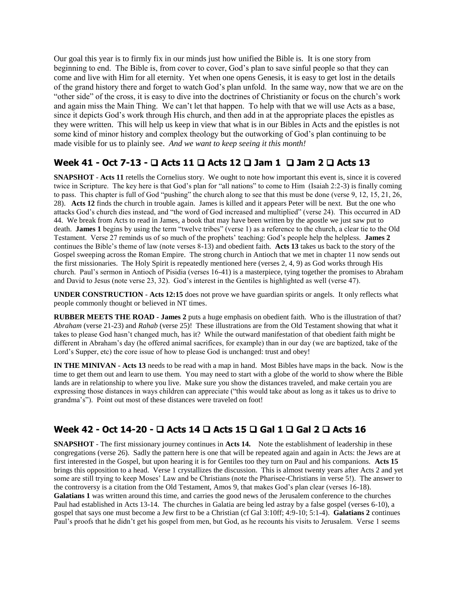Our goal this year is to firmly fix in our minds just how unified the Bible is. It is one story from beginning to end. The Bible is, from cover to cover, God's plan to save sinful people so that they can come and live with Him for all eternity. Yet when one opens Genesis, it is easy to get lost in the details of the grand history there and forget to watch God's plan unfold. In the same way, now that we are on the "other side" of the cross, it is easy to dive into the doctrines of Christianity or focus on the church's work and again miss the Main Thing. We can't let that happen. To help with that we will use Acts as a base, since it depicts God's work through His church, and then add in at the appropriate places the epistles as they were written. This will help us keep in view that what is in our Bibles in Acts and the epistles is not some kind of minor history and complex theology but the outworking of God's plan continuing to be made visible for us to plainly see. *And we want to keep seeing it this month!*

## **Week 41 - Oct 7-13 - Acts 11 Acts 12 Jam 1 Jam 2 Acts 13**

**SNAPSHOT** - **Acts 11** retells the Cornelius story. We ought to note how important this event is, since it is covered twice in Scripture. The key here is that God's plan for "all nations" to come to Him (Isaiah 2:2-3) is finally coming to pass. This chapter is full of God "pushing" the church along to see that this must be done (verse 9, 12, 15, 21, 26, 28). **Acts 12** finds the church in trouble again. James is killed and it appears Peter will be next. But the one who attacks God's church dies instead, and "the word of God increased and multiplied" (verse 24). This occurred in AD 44. We break from Acts to read in James, a book that may have been written by the apostle we just saw put to death. **James 1** begins by using the term "twelve tribes" (verse 1) as a reference to the church, a clear tie to the Old Testament. Verse 27 reminds us of so much of the prophets' teaching: God's people help the helpless. **James 2** continues the Bible's theme of law (note verses 8-13) and obedient faith. **Acts 13** takes us back to the story of the Gospel sweeping across the Roman Empire. The strong church in Antioch that we met in chapter 11 now sends out the first missionaries. The Holy Spirit is repeatedly mentioned here (verses 2, 4, 9) as God works through His church. Paul's sermon in Antioch of Pisidia (verses 16-41) is a masterpiece, tying together the promises to Abraham and David to Jesus (note verse 23, 32). God's interest in the Gentiles is highlighted as well (verse 47).

**UNDER CONSTRUCTION** - **Acts 12:15** does not prove we have guardian spirits or angels. It only reflects what people commonly thought or believed in NT times.

**RUBBER MEETS THE ROAD - James 2** puts a huge emphasis on obedient faith. Who is the illustration of that? *Abraham* (verse 21-23) and *Rahab* (verse 25)! These illustrations are from the Old Testament showing that what it takes to please God hasn't changed much, has it? While the outward manifestation of that obedient faith might be different in Abraham's day (he offered animal sacrifices, for example) than in our day (we are baptized, take of the Lord's Supper, etc) the core issue of how to please God is unchanged: trust and obey!

**IN THE MINIVAN - Acts 13** needs to be read with a map in hand. Most Bibles have maps in the back. Now is the time to get them out and learn to use them. You may need to start with a globe of the world to show where the Bible lands are in relationship to where you live. Make sure you show the distances traveled, and make certain you are expressing those distances in ways children can appreciate ("this would take about as long as it takes us to drive to grandma's"). Point out most of these distances were traveled on foot!

## **Week 42 - Oct 14-20 - Acts 14 Acts 15 Gal 1 Gal 2 Acts 16**

**SNAPSHOT** - The first missionary journey continues in **Acts 14.** Note the establishment of leadership in these congregations (verse 26). Sadly the pattern here is one that will be repeated again and again in Acts: the Jews are at first interested in the Gospel, but upon hearing it is for Gentiles too they turn on Paul and his companions. **Acts 15** brings this opposition to a head. Verse 1 crystallizes the discussion. This is almost twenty years after Acts 2 and yet some are still trying to keep Moses' Law and be Christians (note the Pharisee-Christians in verse 5!). The answer to the controversy is a citation from the Old Testament, Amos 9, that makes God's plan clear (verses 16-18). **Galatians 1** was written around this time, and carries the good news of the Jerusalem conference to the churches Paul had established in Acts 13-14. The churches in Galatia are being led astray by a false gospel (verses 6-10), a gospel that says one must become a Jew first to be a Christian (cf Gal 3:10ff; 4:9-10; 5:1-4). **Galatians 2** continues Paul's proofs that he didn't get his gospel from men, but God, as he recounts his visits to Jerusalem. Verse 1 seems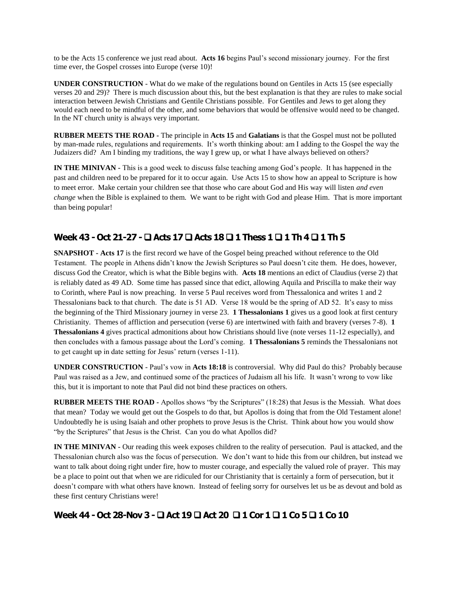to be the Acts 15 conference we just read about. **Acts 16** begins Paul's second missionary journey. For the first time ever, the Gospel crosses into Europe (verse 10)!

**UNDER CONSTRUCTION** - What do we make of the regulations bound on Gentiles in Acts 15 (see especially verses 20 and 29)? There is much discussion about this, but the best explanation is that they are rules to make social interaction between Jewish Christians and Gentile Christians possible. For Gentiles and Jews to get along they would each need to be mindful of the other, and some behaviors that would be offensive would need to be changed. In the NT church unity is always very important.

**RUBBER MEETS THE ROAD -** The principle in **Acts 15** and **Galatians** is that the Gospel must not be polluted by man-made rules, regulations and requirements. It's worth thinking about: am I adding to the Gospel the way the Judaizers did? Am I binding my traditions, the way I grew up, or what I have always believed on others?

**IN THE MINIVAN -** This is a good week to discuss false teaching among God's people. It has happened in the past and children need to be prepared for it to occur again. Use Acts 15 to show how an appeal to Scripture is how to meet error. Make certain your children see that those who care about God and His way will listen *and even change* when the Bible is explained to them. We want to be right with God and please Him. That is more important than being popular!

## **Week 43 - Oct 21-27 - Acts 17 Acts 18 1 Thess 1 1 Th 4 1 Th 5**

**SNAPSHOT - Acts 17** is the first record we have of the Gospel being preached without reference to the Old Testament. The people in Athens didn't know the Jewish Scriptures so Paul doesn't cite them. He does, however, discuss God the Creator, which is what the Bible begins with. **Acts 18** mentions an edict of Claudius (verse 2) that is reliably dated as 49 AD. Some time has passed since that edict, allowing Aquila and Priscilla to make their way to Corinth, where Paul is now preaching. In verse 5 Paul receives word from Thessalonica and writes 1 and 2 Thessalonians back to that church. The date is 51 AD. Verse 18 would be the spring of AD 52. It's easy to miss the beginning of the Third Missionary journey in verse 23. **1 Thessalonians 1** gives us a good look at first century Christianity. Themes of affliction and persecution (verse 6) are intertwined with faith and bravery (verses 7-8). **1 Thessalonians 4** gives practical admonitions about how Christians should live (note verses 11-12 especially), and then concludes with a famous passage about the Lord's coming. **1 Thessalonians 5** reminds the Thessalonians not to get caught up in date setting for Jesus' return (verses 1-11).

**UNDER CONSTRUCTION** - Paul's vow in **Acts 18:18** is controversial. Why did Paul do this? Probably because Paul was raised as a Jew, and continued some of the practices of Judaism all his life. It wasn't wrong to vow like this, but it is important to note that Paul did not bind these practices on others.

**RUBBER MEETS THE ROAD -** Apollos shows "by the Scriptures" (18:28) that Jesus is the Messiah. What does that mean? Today we would get out the Gospels to do that, but Apollos is doing that from the Old Testament alone! Undoubtedly he is using Isaiah and other prophets to prove Jesus is the Christ. Think about how you would show "by the Scriptures" that Jesus is the Christ. Can you do what Apollos did?

**IN THE MINIVAN -** Our reading this week exposes children to the reality of persecution. Paul is attacked, and the Thessalonian church also was the focus of persecution. We don't want to hide this from our children, but instead we want to talk about doing right under fire, how to muster courage, and especially the valued role of prayer. This may be a place to point out that when we are ridiculed for our Christianity that is certainly a form of persecution, but it doesn't compare with what others have known. Instead of feeling sorry for ourselves let us be as devout and bold as these first century Christians were!

## **Week 44 - Oct 28-Nov 3 - Act 19 Act 20 1 Cor 1 1 Co 5 1 Co 10**